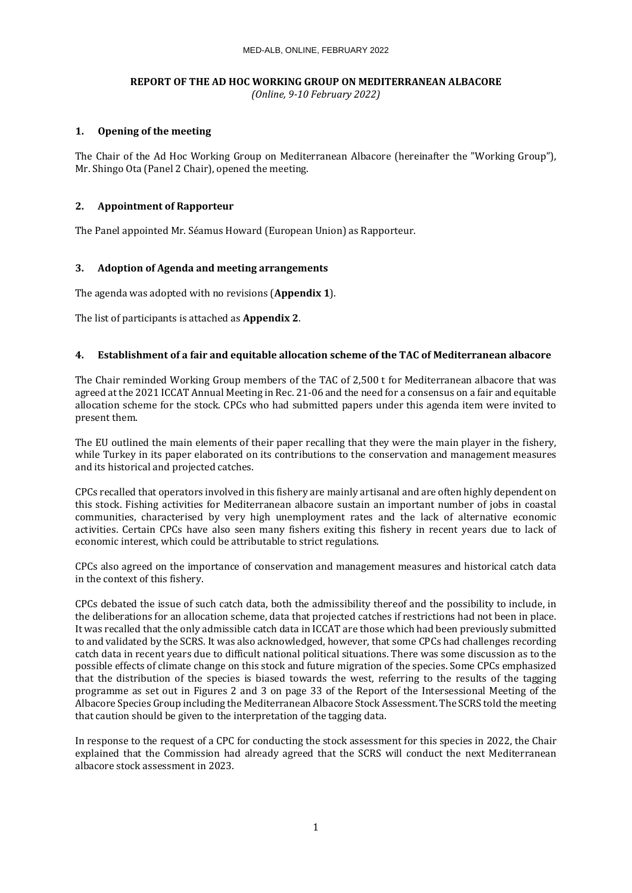# **REPORT OF THE AD HOC WORKING GROUP ON MEDITERRANEAN ALBACORE**

*(Online, 9-10 February 2022)*

# **1. Opening of the meeting**

The Chair of the Ad Hoc Working Group on Mediterranean Albacore (hereinafter the "Working Group"), Mr. Shingo Ota (Panel 2 Chair), opened the meeting.

# **2. Appointment of Rapporteur**

The Panel appointed Mr. Séamus Howard (European Union) as Rapporteur.

# **3. Adoption of Agenda and meeting arrangements**

The agenda was adopted with no revisions (**Appendix 1**).

The list of participants is attached as **Appendix 2**.

# **4. Establishment of a fair and equitable allocation scheme of the TAC of Mediterranean albacore**

The Chair reminded Working Group members of the TAC of 2,500 t for Mediterranean albacore that was agreed at the 2021 ICCAT Annual Meeting in Rec. 21-06 and the need for a consensus on a fair and equitable allocation scheme for the stock. CPCs who had submitted papers under this agenda item were invited to present them.

The EU outlined the main elements of their paper recalling that they were the main player in the fishery, while Turkey in its paper elaborated on its contributions to the conservation and management measures and its historical and projected catches.

CPCs recalled that operators involved in this fishery are mainly artisanal and are often highly dependent on this stock. Fishing activities for Mediterranean albacore sustain an important number of jobs in coastal communities, characterised by very high unemployment rates and the lack of alternative economic activities. Certain CPCs have also seen many fishers exiting this fishery in recent years due to lack of economic interest, which could be attributable to strict regulations.

CPCs also agreed on the importance of conservation and management measures and historical catch data in the context of this fishery.

CPCs debated the issue of such catch data, both the admissibility thereof and the possibility to include, in the deliberations for an allocation scheme, data that projected catches if restrictions had not been in place. It was recalled that the only admissible catch data in ICCAT are those which had been previously submitted to and validated by the SCRS. It was also acknowledged, however, that some CPCs had challenges recording catch data in recent years due to difficult national political situations. There was some discussion as to the possible effects of climate change on this stock and future migration of the species. Some CPCs emphasized that the distribution of the species is biased towards the west, referring to the results of the tagging programme as set out in Figures 2 and 3 on page 33 of the [Report of the Intersessional Meeting of the](https://www.iccat.int/Documents/Meetings/Docs/2021/REPORTS/2021_ALB_ENG.pdf)  [Albacore Species Group including the Mediterranean Albacore Stock Assessment.](https://www.iccat.int/Documents/Meetings/Docs/2021/REPORTS/2021_ALB_ENG.pdf) The SCRS told the meeting that caution should be given to the interpretation of the tagging data.

In response to the request of a CPC for conducting the stock assessment for this species in 2022, the Chair explained that the Commission had already agreed that the SCRS will conduct the next Mediterranean albacore stock assessment in 2023.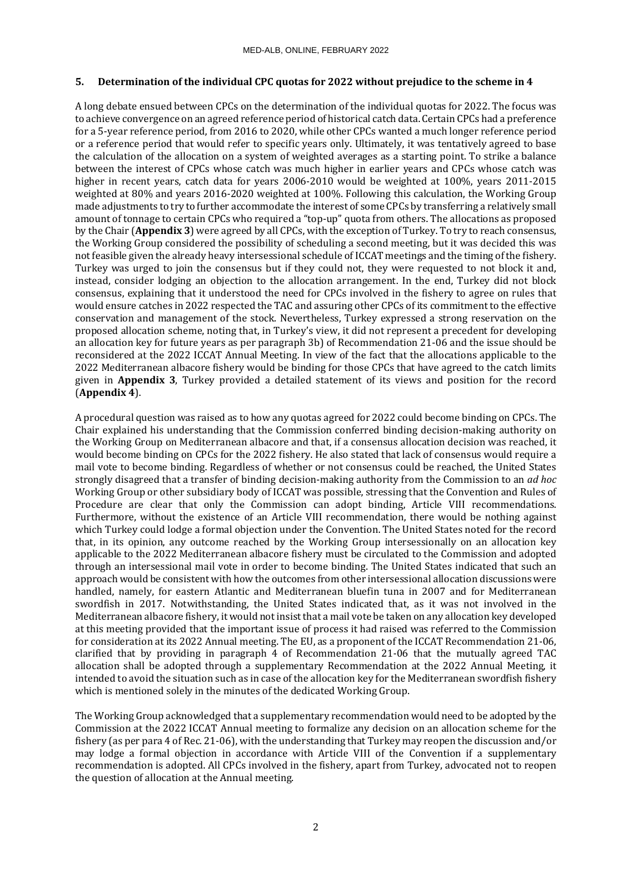# **5. Determination of the individual CPC quotas for 2022 without prejudice to the scheme in 4**

A long debate ensued between CPCs on the determination of the individual quotas for 2022. The focus was to achieve convergence on an agreed reference period of historical catch data. Certain CPCs had a preference for a 5-year reference period, from 2016 to 2020, while other CPCs wanted a much longer reference period or a reference period that would refer to specific years only. Ultimately, it was tentatively agreed to base the calculation of the allocation on a system of weighted averages as a starting point. To strike a balance between the interest of CPCs whose catch was much higher in earlier years and CPCs whose catch was higher in recent years, catch data for years 2006-2010 would be weighted at 100%, years 2011-2015 weighted at 80% and years 2016-2020 weighted at 100%. Following this calculation, the Working Group made adjustments to try to further accommodate the interest of some CPCs by transferring a relatively small amount of tonnage to certain CPCs who required a "top-up" quota from others. The allocations as proposed by the Chair (**Appendix 3**) were agreed by all CPCs, with the exception of Turkey. To try to reach consensus, the Working Group considered the possibility of scheduling a second meeting, but it was decided this was not feasible given the already heavy intersessional schedule of ICCAT meetings and the timing of the fishery. Turkey was urged to join the consensus but if they could not, they were requested to not block it and, instead, consider lodging an objection to the allocation arrangement. In the end, Turkey did not block consensus, explaining that it understood the need for CPCs involved in the fishery to agree on rules that would ensure catches in 2022 respected the TAC and assuring other CPCs of its commitment to the effective conservation and management of the stock. Nevertheless, Turkey expressed a strong reservation on the proposed allocation scheme, noting that, in Turkey's view, it did not represent a precedent for developing an allocation key for future years as per paragraph 3b) of Recommendation 21-06 and the issue should be reconsidered at the 2022 ICCAT Annual Meeting. In view of the fact that the allocations applicable to the 2022 Mediterranean albacore fishery would be binding for those CPCs that have agreed to the catch limits given in **Appendix 3**, Turkey provided a detailed statement of its views and position for the record (**Appendix 4**).

A procedural question was raised as to how any quotas agreed for 2022 could become binding on CPCs. The Chair explained his understanding that the Commission conferred binding decision-making authority on the Working Group on Mediterranean albacore and that, if a consensus allocation decision was reached, it would become binding on CPCs for the 2022 fishery. He also stated that lack of consensus would require a mail vote to become binding. Regardless of whether or not consensus could be reached, the United States strongly disagreed that a transfer of binding decision-making authority from the Commission to an *ad hoc* Working Group or other subsidiary body of ICCAT was possible, stressing that the Convention and Rules of Procedure are clear that only the Commission can adopt binding, Article VIII recommendations. Furthermore, without the existence of an Article VIII recommendation, there would be nothing against which Turkey could lodge a formal objection under the Convention. The United States noted for the record that, in its opinion, any outcome reached by the Working Group intersessionally on an allocation key applicable to the 2022 Mediterranean albacore fishery must be circulated to the Commission and adopted through an intersessional mail vote in order to become binding. The United States indicated that such an approach would be consistent with how the outcomes from other intersessional allocation discussions were handled, namely, for eastern Atlantic and Mediterranean bluefin tuna in 2007 and for Mediterranean swordfish in 2017. Notwithstanding, the United States indicated that, as it was not involved in the Mediterranean albacore fishery, it would not insist that a mail vote be taken on any allocation key developed at this meeting provided that the important issue of process it had raised was referred to the Commission for consideration at its 2022 Annual meeting. The EU, as a proponent of the ICCAT Recommendation 21-06, clarified that by providing in paragraph 4 of Recommendation 21-06 that the mutually agreed TAC allocation shall be adopted through a supplementary Recommendation at the 2022 Annual Meeting, it intended to avoid the situation such as in case of the allocation key for the Mediterranean swordfish fishery which is mentioned solely in the minutes of the dedicated Working Group.

The Working Group acknowledged that a supplementary recommendation would need to be adopted by the Commission at the 2022 ICCAT Annual meeting to formalize any decision on an allocation scheme for the fishery (as per para 4 of Rec. 21-06), with the understanding that Turkey may reopen the discussion and/or may lodge a formal objection in accordance with Article VIII of the Convention if a supplementary recommendation is adopted. All CPCs involved in the fishery, apart from Turkey, advocated not to reopen the question of allocation at the Annual meeting.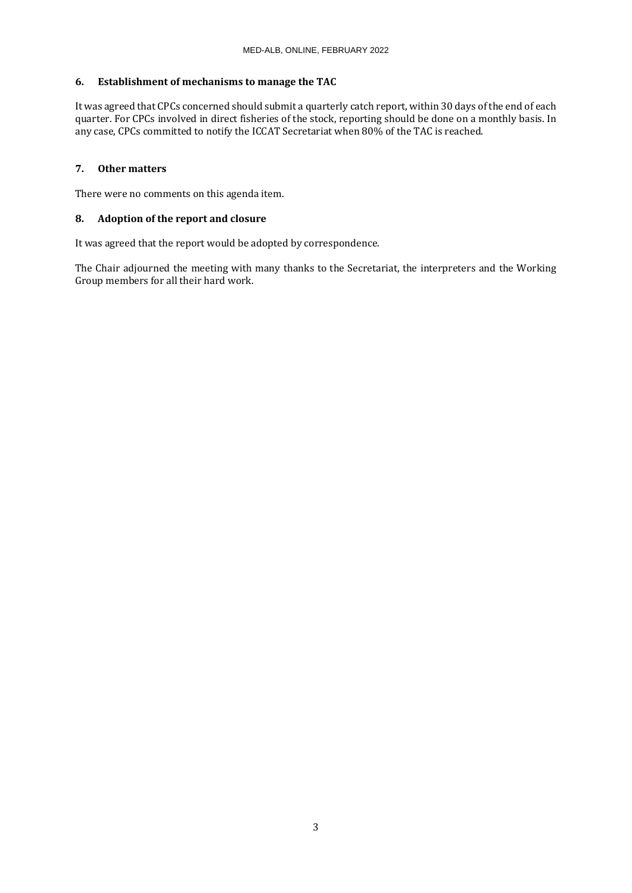# **6. Establishment of mechanisms to manage the TAC**

It was agreed that CPCs concerned should submit a quarterly catch report, within 30 days of the end of each quarter. For CPCs involved in direct fisheries of the stock, reporting should be done on a monthly basis. In any case, CPCs committed to notify the ICCAT Secretariat when 80% of the TAC is reached.

# **7. Other matters**

There were no comments on this agenda item.

# **8. Adoption of the report and closure**

It was agreed that the report would be adopted by correspondence.

The Chair adjourned the meeting with many thanks to the Secretariat, the interpreters and the Working Group members for all their hard work.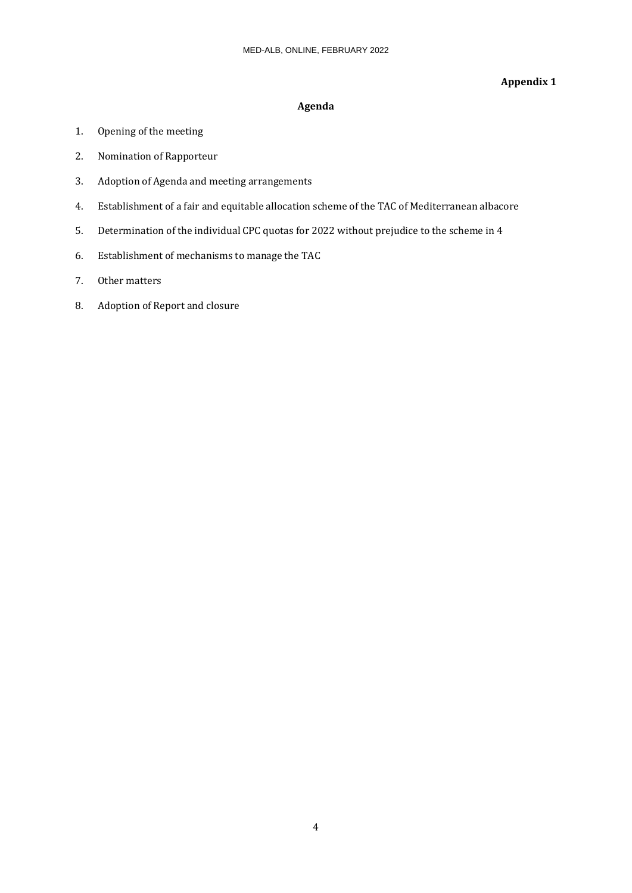# **Appendix 1**

# **Agenda**

- 1. Opening of the meeting
- 2. Nomination of Rapporteur
- 3. Adoption of Agenda and meeting arrangements
- 4. Establishment of a fair and equitable allocation scheme of the TAC of Mediterranean albacore
- 5. Determination of the individual CPC quotas for 2022 without prejudice to the scheme in 4
- 6. Establishment of mechanisms to manage the TAC
- 7. Other matters
- 8. Adoption of Report and closure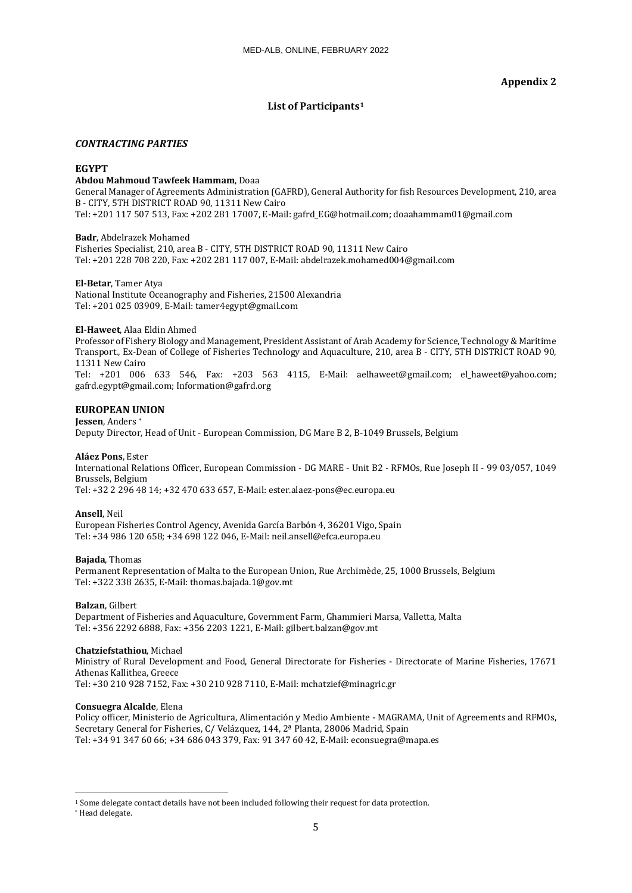# **List of Participants[1](#page-4-0)**

## *CONTRACTING PARTIES*

# **EGYPT**

### **Abdou Mahmoud Tawfeek Hammam**, Doaa

General Manager of Agreements Administration (GAFRD), General Authority for fish Resources Development, 210, area B - CITY, 5TH DISTRICT ROAD 90, 11311 New Cairo Tel: +201 117 507 513, Fax: +202 281 17007, E-Mail: gafrd\_EG@hotmail.com; doaahammam01@gmail.com

**Badr**, Abdelrazek Mohamed Fisheries Specialist, 210, area B - CITY, 5TH DISTRICT ROAD 90, 11311 New Cairo Tel: +201 228 708 220, Fax: +202 281 117 007, E-Mail: abdelrazek.mohamed004@gmail.com

#### **El-Betar**, Tamer Atya

National Institute Oceanography and Fisheries, 21500 Alexandria Tel: +201 025 03909, E-Mail: tamer4egypt@gmail.com

## **El-Haweet**, Alaa Eldin Ahmed

Professor of Fishery Biology and Management, President Assistant of Arab Academy for Science, Technology & Maritime Transport., Ex-Dean of College of Fisheries Technology and Aquaculture, 210, area B - CITY, 5TH DISTRICT ROAD 90, 11311 New Cairo Tel: +201 006 633 546, Fax: +203 563 4115, E-Mail: aelhaweet@gmail.com; el\_haweet@yahoo.com;

gafrd.egypt@gmail.com; Information@gafrd.org

## **EUROPEAN [UN](#page-4-1)ION**

### **Jessen**, Anders \*

Deputy Director, Head of Unit - European Commission, DG Mare B 2, B-1049 Brussels, Belgium

#### **Aláez Pons**, Ester

International Relations Officer, European Commission - DG MARE - Unit B2 - RFMOs, Rue Joseph II - 99 03/057, 1049 Brussels, Belgium

Tel: +32 2 296 48 14; +32 470 633 657, E-Mail: ester.alaez-pons@ec.europa.eu

#### **Ansell**, Neil

European Fisheries Control Agency, Avenida García Barbón 4, 36201 Vigo, Spain Tel: +34 986 120 658; +34 698 122 046, E-Mail: neil.ansell@efca.europa.eu

#### **Bajada**, Thomas

Permanent Representation of Malta to the European Union, Rue Archimède, 25, 1000 Brussels, Belgium Tel: +322 338 2635, E-Mail: thomas.bajada.1@gov.mt

### **Balzan**, Gilbert

Department of Fisheries and Aquaculture, Government Farm, Ghammieri Marsa, Valletta, Malta Tel: +356 2292 6888, Fax: +356 2203 1221, E-Mail: gilbert.balzan@gov.mt

#### **Chatziefstathiou**, Michael

Ministry of Rural Development and Food, General Directorate for Fisheries - Directorate of Marine Fisheries, 17671 Athenas Kallithea, Greece Tel: +30 210 928 7152, Fax: +30 210 928 7110, E-Mail: mchatzief@minagric.gr

#### **Consuegra Alcalde**, Elena

Policy officer, Ministerio de Agricultura, Alimentación y Medio Ambiente - MAGRAMA, Unit of Agreements and RFMOs, Secretary General for Fisheries, C/ Velázquez, 144, 2ª Planta, 28006 Madrid, Spain Tel: +34 91 347 60 66; +34 686 043 379, Fax: 91 347 60 42, E-Mail: econsuegra@mapa.es

<span id="page-4-0"></span><sup>1</sup> Some delegate contact details have not been included following their request for data protection.

<span id="page-4-1"></span><sup>\*</sup> Head delegate.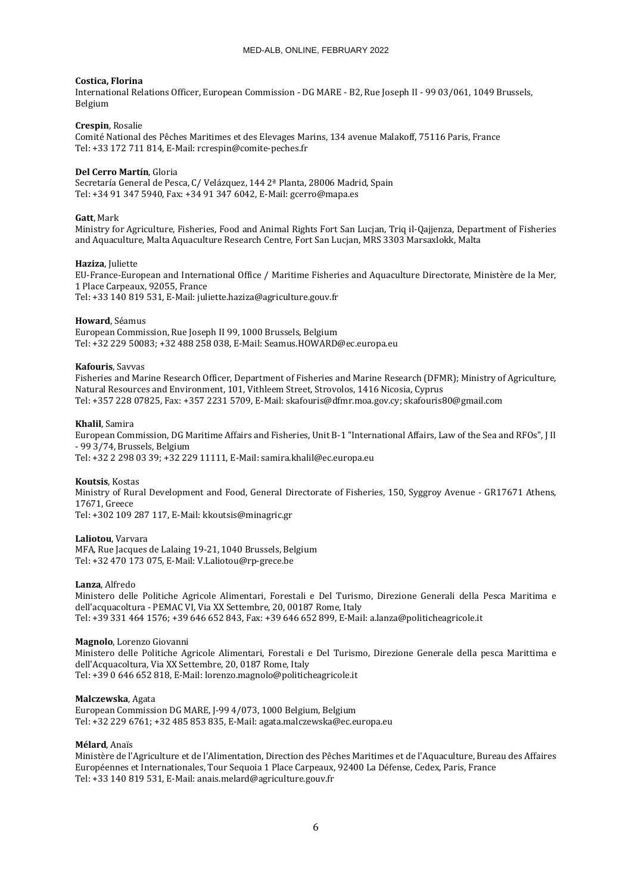#### **Costica, Florina**

International Relations Officer, European Commission - DG MARE - B2, Rue Joseph II - 99 03/061, 1049 Brussels, Belgium

### **Crespin**, Rosalie

Comité National des Pêches Maritimes et des Elevages Marins, 134 avenue Malakoff, 75116 Paris, France Tel: +33 172 711 814, E-Mail: rcrespin@comite-peches.fr

#### **Del Cerro Martín**, Gloria

Secretaría General de Pesca, C/ Velázquez, 144 2ª Planta, 28006 Madrid, Spain Tel: +34 91 347 5940, Fax: +34 91 347 6042, E-Mail: gcerro@mapa.es

#### **Gatt**, Mark

Ministry for Agriculture, Fisheries, Food and Animal Rights Fort San Lucjan, Triq il-Qajjenza, Department of Fisheries and Aquaculture, Malta Aquaculture Research Centre, Fort San Lucjan, MRS 3303 Marsaxlokk, Malta

#### **Haziza**, Juliette

EU-France-European and International Office / Maritime Fisheries and Aquaculture Directorate, Ministère de la Mer, 1 Place Carpeaux, 92055, France Tel: +33 140 819 531, E-Mail: juliette.haziza@agriculture.gouv.fr

### **Howard**, Séamus

European Commission, Rue Joseph II 99, 1000 Brussels, Belgium Tel: +32 229 50083; +32 488 258 038, E-Mail: Seamus.HOWARD@ec.europa.eu

#### **Kafouris**, Savvas

Fisheries and Marine Research Officer, Department of Fisheries and Marine Research (DFMR); Ministry of Agriculture, Natural Resources and Environment, 101, Vithleem Street, Strovolos, 1416 Nicosia, Cyprus Tel: +357 228 07825, Fax: +357 2231 5709, E-Mail: skafouris@dfmr.moa.gov.cy; skafouris80@gmail.com

#### **Khalil**, Samira

European Commission, DG Maritime Affairs and Fisheries, Unit B-1 "International Affairs, Law of the Sea and RFOs", J II - 99 3/74, Brussels, Belgium Tel: +32 2 298 03 39; +32 229 11111, E-Mail: samira.khalil@ec.europa.eu

## **Koutsis**, Kostas

Ministry of Rural Development and Food, General Directorate of Fisheries, 150, Syggroy Avenue - GR17671 Athens, 17671, Greece

Tel: +302 109 287 117, E-Mail: kkoutsis@minagric.gr

## **Laliotou**, Varvara

MFA, Rue Jacques de Lalaing 19-21, 1040 Brussels, Belgium Tel: +32 470 173 075, E-Mail: V.Laliotou@rp-grece.be

### **Lanza**, Alfredo

Ministero delle Politiche Agricole Alimentari, Forestali e Del Turismo, Direzione Generali della Pesca Maritima e dell'acquacoltura - PEMAC VI, Via XX Settembre, 20, 00187 Rome, Italy Tel: +39 331 464 1576; +39 646 652 843, Fax: +39 646 652 899, E-Mail: a.lanza@politicheagricole.it

#### **Magnolo**, Lorenzo Giovanni

Ministero delle Politiche Agricole Alimentari, Forestali e Del Turismo, Direzione Generale della pesca Marittima e dell'Acquacoltura, Via XX Settembre, 20, 0187 Rome, Italy Tel: +39 0 646 652 818, E-Mail: lorenzo.magnolo@politicheagricole.it

#### **Malczewska**, Agata

European Commission DG MARE, J-99 4/073, 1000 Belgium, Belgium Tel: +32 229 6761; +32 485 853 835, E-Mail: agata.malczewska@ec.europa.eu

#### **Mélard**, Anaïs

Ministère de l'Agriculture et de l'Alimentation, Direction des Pêches Maritimes et de l'Aquaculture, Bureau des Affaires Européennes et Internationales, Tour Sequoia 1 Place Carpeaux, 92400 La Défense, Cedex, Paris, France Tel: +33 140 819 531, E-Mail: anais.melard@agriculture.gouv.fr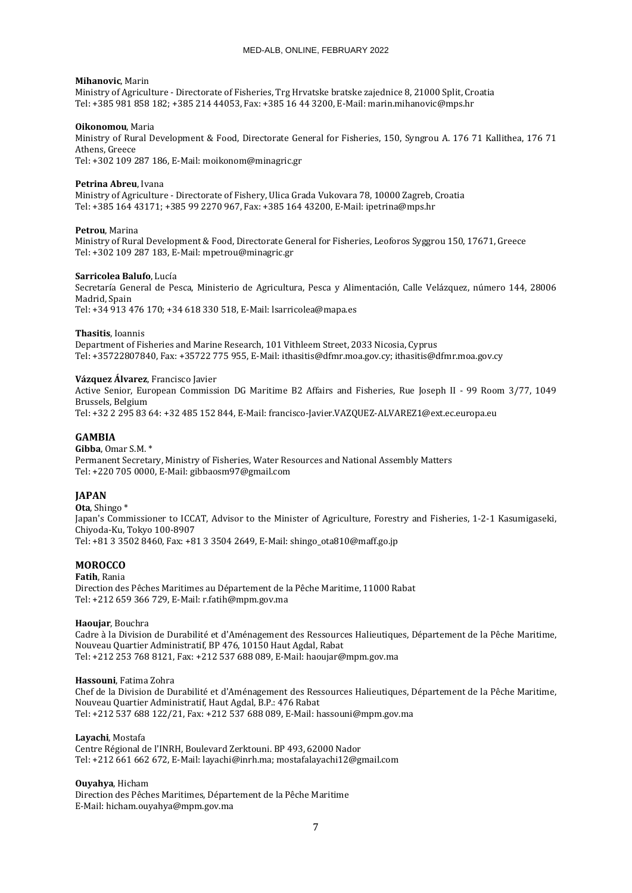## **Mihanovic**, Marin

Ministry of Agriculture - Directorate of Fisheries, Trg Hrvatske bratske zajednice 8, 21000 Split, Croatia Tel: +385 981 858 182; +385 214 44053, Fax: +385 16 44 3200, E-Mail: marin.mihanovic@mps.hr

### **Oikonomou**, Maria

Ministry of Rural Development & Food, Directorate General for Fisheries, 150, Syngrou A. 176 71 Kallithea, 176 71 Athens, Greece

Tel: +302 109 287 186, E-Mail: moikonom@minagric.gr

#### **Petrina Abreu**, Ivana

Ministry of Agriculture - Directorate of Fishery, Ulica Grada Vukovara 78, 10000 Zagreb, Croatia Tel: +385 164 43171; +385 99 2270 967, Fax: +385 164 43200, E-Mail: ipetrina@mps.hr

#### **Petrou**, Marina

Ministry of Rural Development & Food, Directorate General for Fisheries, Leoforos Syggrou 150, 17671, Greece Tel: +302 109 287 183, E-Mail: mpetrou@minagric.gr

#### **Sarricolea Balufo**, Lucía

Secretaría General de Pesca, Ministerio de Agricultura, Pesca y Alimentación, Calle Velázquez, número 144, 28006 Madrid, Spain Tel: +34 913 476 170; +34 618 330 518, E-Mail: lsarricolea@mapa.es

### **Thasitis**, Ioannis

Department of Fisheries and Marine Research, 101 Vithleem Street, 2033 Nicosia, Cyprus Tel: +35722807840, Fax: +35722 775 955, E-Mail: ithasitis@dfmr.moa.gov.cy; ithasitis@dfmr.moa.gov.cy

#### **Vázquez Álvarez**, Francisco Javier

Active Senior, European Commission DG Maritime B2 Affairs and Fisheries, Rue Joseph II - 99 Room 3/77, 1049 Brussels, Belgium

Tel: +32 2 295 83 64: +32 485 152 844, E-Mail: francisco-Javier.VAZQUEZ-ALVAREZ1@ext.ec.europa.eu

## **GAMBIA**

### **Gibba**, Omar S.M. \*

Permanent Secretary, Ministry of Fisheries, Water Resources and National Assembly Matters Tel: +220 705 0000, E-Mail: gibbaosm97@gmail.com

## **JAPAN**

**Ota**, Shingo \* Japan's Commissioner to ICCAT, Advisor to the Minister of Agriculture, Forestry and Fisheries, 1-2-1 Kasumigaseki, Chiyoda-Ku, Tokyo 100-8907 Tel: +81 3 3502 8460, Fax: +81 3 3504 2649, E-Mail: shingo\_ota810@maff.go.jp

## **MOROCCO**

**Fatih**, Rania Direction des Pêches Maritimes au Département de la Pêche Maritime, 11000 Rabat Tel: +212 659 366 729, E-Mail: r.fatih@mpm.gov.ma

# **Haoujar**, Bouchra

Cadre à la Division de Durabilité et d'Aménagement des Ressources Halieutiques, Département de la Pêche Maritime, Nouveau Quartier Administratif, BP 476, 10150 Haut Agdal, Rabat Tel: +212 253 768 8121, Fax: +212 537 688 089, E-Mail: haoujar@mpm.gov.ma

#### **Hassouni**, Fatima Zohra

Chef de la Division de Durabilité et d'Aménagement des Ressources Halieutiques, Département de la Pêche Maritime, Nouveau Quartier Administratif, Haut Agdal, B.P.: 476 Rabat Tel: +212 537 688 122/21, Fax: +212 537 688 089, E-Mail: hassouni@mpm.gov.ma

#### **Layachi**, Mostafa

Centre Régional de l'INRH, Boulevard Zerktouni. BP 493, 62000 Nador Tel: +212 661 662 672, E-Mail: layachi@inrh.ma; mostafalayachi12@gmail.com

#### **Ouyahya**, Hicham

Direction des Pêches Maritimes, Département de la Pêche Maritime E-Mail: hicham.ouyahya@mpm.gov.ma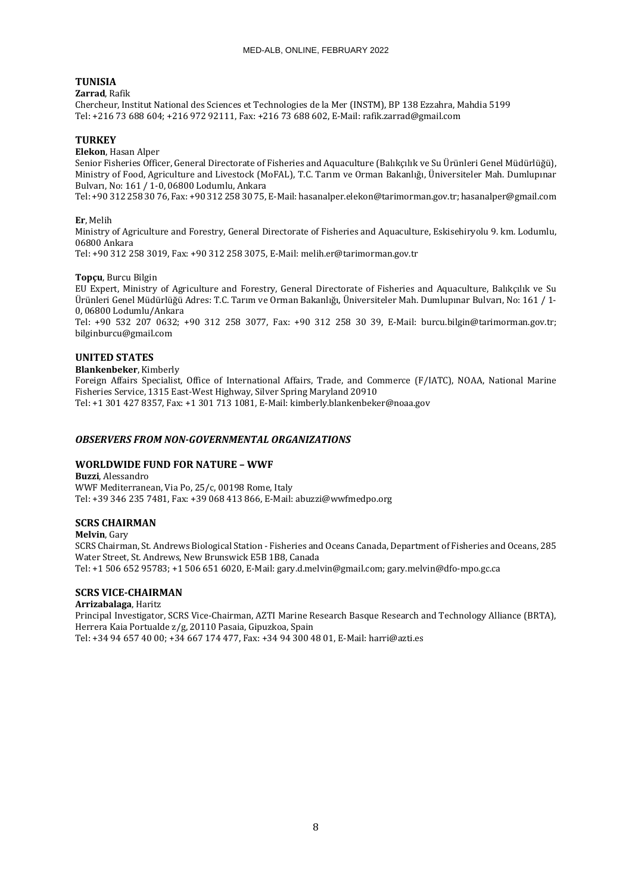# **TUNISIA**

## **Zarrad**, Rafik

Chercheur, Institut National des Sciences et Technologies de la Mer (INSTM), BP 138 Ezzahra, Mahdia 5199 Tel: +216 73 688 604; +216 972 92111, Fax: +216 73 688 602, E-Mail: rafik.zarrad@gmail.com

# **TURKEY**

## **Elekon**, Hasan Alper

Senior Fisheries Officer, General Directorate of Fisheries and Aquaculture (Balıkçılık ve Su Ürünleri Genel Müdürlüğü), Ministry of Food, Agriculture and Livestock (MoFAL), T.C. Tarım ve Orman Bakanlığı, Üniversiteler Mah. Dumlupınar Bulvarı, No: 161 / 1-0, 06800 Lodumlu, Ankara

Tel: +90 312 258 30 76, Fax: +90 312 258 30 75, E-Mail: hasanalper.elekon@tarimorman.gov.tr; hasanalper@gmail.com

# **Er**, Melih

Ministry of Agriculture and Forestry, General Directorate of Fisheries and Aquaculture, Eskisehiryolu 9. km. Lodumlu, 06800 Ankara

Tel: +90 312 258 3019, Fax: +90 312 258 3075, E-Mail: melih.er@tarimorman.gov.tr

# **Topçu**, Burcu Bilgin

EU Expert, Ministry of Agriculture and Forestry, General Directorate of Fisheries and Aquaculture, Balıkçılık ve Su Ürünleri Genel Müdürlüğü Adres: T.C. Tarım ve Orman Bakanlığı, Üniversiteler Mah. Dumlupınar Bulvarı, No: 161 / 1- 0, 06800 Lodumlu/Ankara

Tel: +90 532 207 0632; +90 312 258 3077, Fax: +90 312 258 30 39, E-Mail: burcu.bilgin@tarimorman.gov.tr; bilginburcu@gmail.com

# **UNITED STATES**

## **Blankenbeker**, Kimberly

Foreign Affairs Specialist, Office of International Affairs, Trade, and Commerce (F/IATC), NOAA, National Marine Fisheries Service, 1315 East-West Highway, Silver Spring Maryland 20910 Tel: +1 301 427 8357, Fax: +1 301 713 1081, E-Mail: kimberly.blankenbeker@noaa.gov

# *OBSERVERS FROM NON-GOVERNMENTAL ORGANIZATIONS*

# **WORLDWIDE FUND FOR NATURE – WWF**

**Buzzi**, Alessandro WWF Mediterranean, Via Po, 25/c, 00198 Rome, Italy Tel: +39 346 235 7481, Fax: +39 068 413 866, E-Mail: abuzzi@wwfmedpo.org

## **SCRS CHAIRMAN**

## **Melvin**, Gary

SCRS Chairman, St. Andrews Biological Station - Fisheries and Oceans Canada, Department of Fisheries and Oceans, 285 Water Street, St. Andrews, New Brunswick E5B 1B8, Canada Tel: +1 506 652 95783; +1 506 651 6020, E-Mail: gary.d.melvin@gmail.com; gary.melvin@dfo-mpo.gc.ca

# **SCRS VICE-CHAIRMAN**

## **Arrizabalaga**, Haritz

Principal Investigator, SCRS Vice-Chairman, AZTI Marine Research Basque Research and Technology Alliance (BRTA), Herrera Kaia Portualde z/g, 20110 Pasaia, Gipuzkoa, Spain Tel: +34 94 657 40 00; +34 667 174 477, Fax: +34 94 300 48 01, E-Mail: harri@azti.es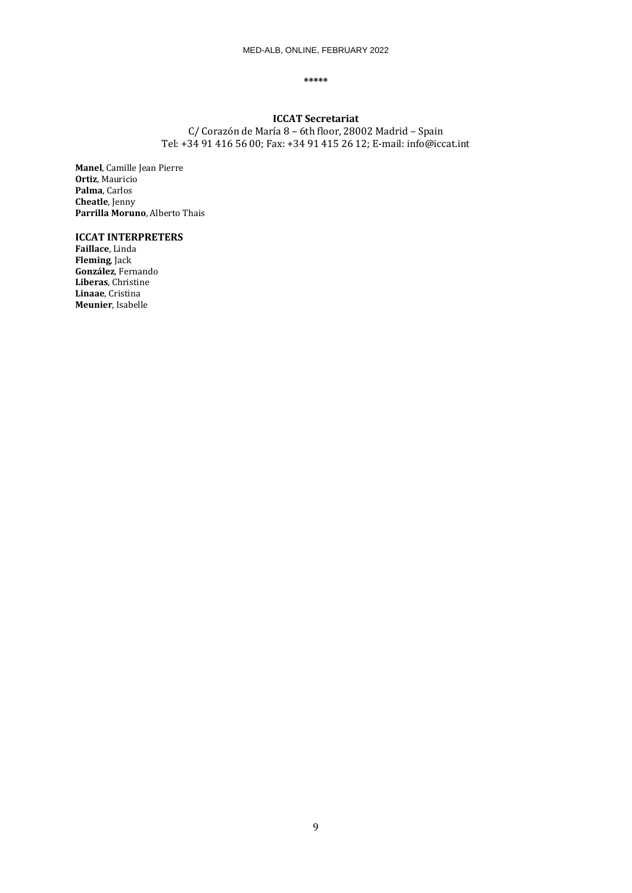#### **\*\*\*\*\***

# **ICCAT Secretariat**

C/ Corazón de María 8 – 6th floor, 28002 Madrid – Spain Tel: +34 91 416 56 00; Fax: +34 91 415 26 12; E-mail: info@iccat.int

**Manel**, Camille Jean Pierre **Ortiz**, Mauricio **Palma**, Carlos **Cheatle**, Jenny **Parrilla Moruno**, Alberto Thais

# **ICCAT INTERPRETERS**

**Faillace**, Linda **Fleming**, Jack **González**, Fernando **Liberas**, Christine **Linaae**, Cristina **Meunier**, Isabelle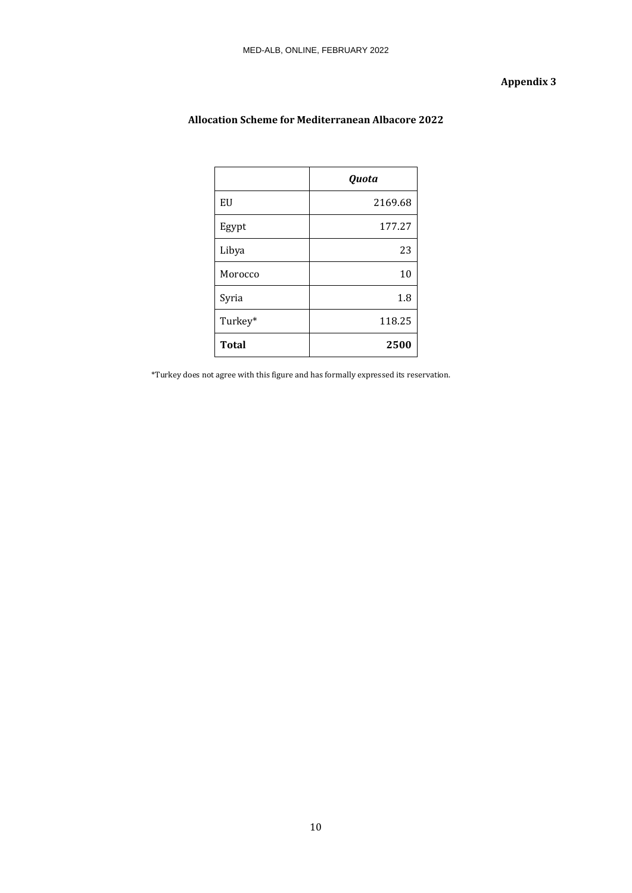# **Appendix 3**

|              | Quota   |
|--------------|---------|
| EU           | 2169.68 |
| Egypt        | 177.27  |
| Libya        | 23      |
| Morocco      | 10      |
| Syria        | 1.8     |
| Turkey*      | 118.25  |
| <b>Total</b> | 2500    |

# **Allocation Scheme for Mediterranean Albacore 2022**

\*Turkey does not agree with this figure and has formally expressed its reservation.